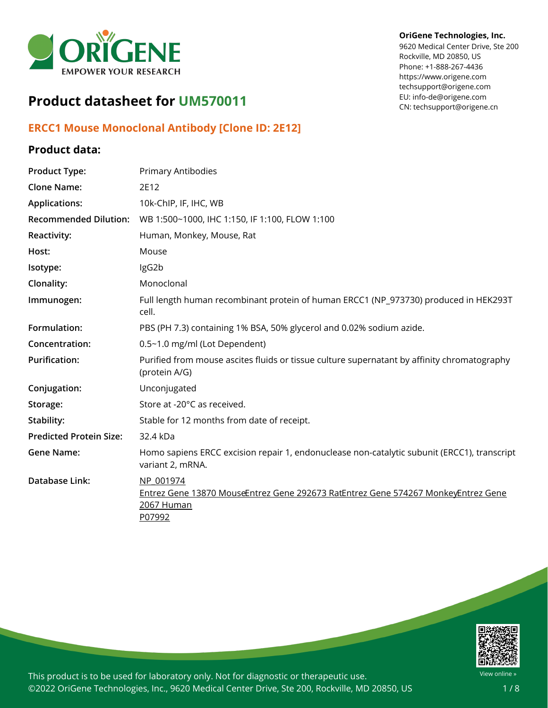

# **Product datasheet for UM570011**

## **ERCC1 Mouse Monoclonal Antibody [Clone ID: 2E12]**

### **Product data:**

### **OriGene Technologies, Inc.**

9620 Medical Center Drive, Ste 200 Rockville, MD 20850, US Phone: +1-888-267-4436 https://www.origene.com techsupport@origene.com EU: info-de@origene.com CN: techsupport@origene.cn

| <b>Product Type:</b>           | <b>Primary Antibodies</b>                                                                                              |
|--------------------------------|------------------------------------------------------------------------------------------------------------------------|
| <b>Clone Name:</b>             | 2E12                                                                                                                   |
| <b>Applications:</b>           | 10k-ChIP, IF, IHC, WB                                                                                                  |
| <b>Recommended Dilution:</b>   | WB 1:500~1000, IHC 1:150, IF 1:100, FLOW 1:100                                                                         |
| Reactivity:                    | Human, Monkey, Mouse, Rat                                                                                              |
| Host:                          | Mouse                                                                                                                  |
| Isotype:                       | IgG2b                                                                                                                  |
| Clonality:                     | Monoclonal                                                                                                             |
| Immunogen:                     | Full length human recombinant protein of human ERCC1 (NP_973730) produced in HEK293T<br>cell.                          |
| Formulation:                   | PBS (PH 7.3) containing 1% BSA, 50% glycerol and 0.02% sodium azide.                                                   |
| Concentration:                 | 0.5~1.0 mg/ml (Lot Dependent)                                                                                          |
| <b>Purification:</b>           | Purified from mouse ascites fluids or tissue culture supernatant by affinity chromatography<br>(protein A/G)           |
| Conjugation:                   | Unconjugated                                                                                                           |
| Storage:                       | Store at -20°C as received.                                                                                            |
| Stability:                     | Stable for 12 months from date of receipt.                                                                             |
| <b>Predicted Protein Size:</b> | 32.4 kDa                                                                                                               |
| <b>Gene Name:</b>              | Homo sapiens ERCC excision repair 1, endonuclease non-catalytic subunit (ERCC1), transcript<br>variant 2, mRNA.        |
| <b>Database Link:</b>          | NP 001974<br>Entrez Gene 13870 MouseEntrez Gene 292673 RatEntrez Gene 574267 MonkeyEntrez Gene<br>2067 Human<br>P07992 |

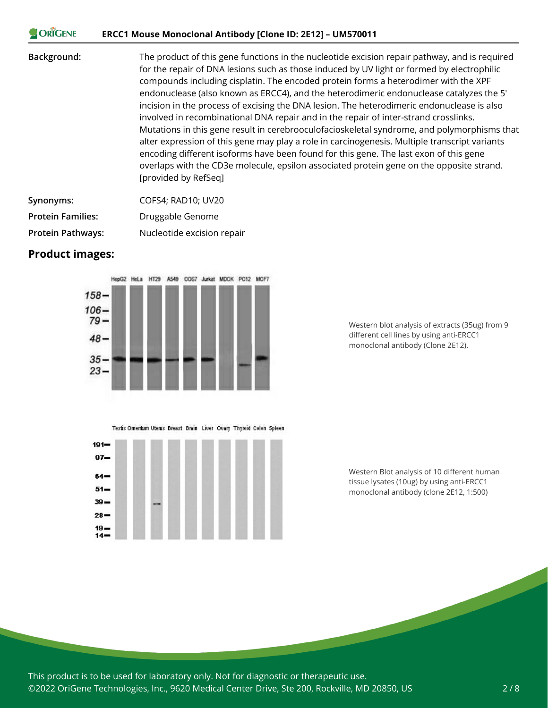#### **CORIGENE ERCC1 Mouse Monoclonal Antibody [Clone ID: 2E12] – UM570011**

**Background:** The product of this gene functions in the nucleotide excision repair pathway, and is required for the repair of DNA lesions such as those induced by UV light or formed by electrophilic compounds including cisplatin. The encoded protein forms a heterodimer with the XPF endonuclease (also known as ERCC4), and the heterodimeric endonuclease catalyzes the 5' incision in the process of excising the DNA lesion. The heterodimeric endonuclease is also involved in recombinational DNA repair and in the repair of inter-strand crosslinks. Mutations in this gene result in cerebrooculofacioskeletal syndrome, and polymorphisms that alter expression of this gene may play a role in carcinogenesis. Multiple transcript variants encoding different isoforms have been found for this gene. The last exon of this gene overlaps with the CD3e molecule, epsilon associated protein gene on the opposite strand. [provided by RefSeq]

| Synonyms:                | COFS4: RAD10: UV20         |
|--------------------------|----------------------------|
| <b>Protein Families:</b> | Druggable Genome           |
| <b>Protein Pathways:</b> | Nucleotide excision repair |

#### **Product images:**



Testis Omentum Uterus Breast Brain Liver Ovary Thyroid Colon Spleen



Western blot analysis of extracts (35ug) from 9 different cell lines by using anti-ERCC1 monoclonal antibody (Clone 2E12).

Western Blot analysis of 10 different human tissue lysates (10ug) by using anti-ERCC1 monoclonal antibody (clone 2E12, 1:500)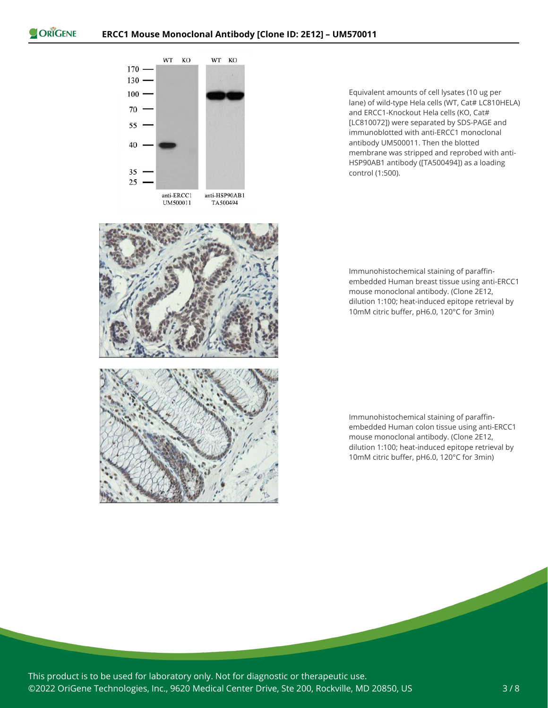

Equivalent amounts of cell lysates (10 ug per lane) of wild-type Hela cells (WT, Cat# LC810HELA) and ERCC1-Knockout Hela cells (KO, Cat# [LC810072]) were separated by SDS-PAGE and immunoblotted with anti-ERCC1 monoclonal antibody UM500011. Then the blotted membrane was stripped and reprobed with anti-HSP90AB1 antibody ([TA500494]) as a loading control (1:500).

Immunohistochemical staining of paraffinembedded Human breast tissue using anti-ERCC1 mouse monoclonal antibody. (Clone 2E12, dilution 1:100; heat-induced epitope retrieval by 10mM citric buffer, pH6.0, 120°C for 3min)

Immunohistochemical staining of paraffinembedded Human colon tissue using anti-ERCC1 mouse monoclonal antibody. (Clone 2E12, dilution 1:100; heat-induced epitope retrieval by 10mM citric buffer, pH6.0, 120°C for 3min)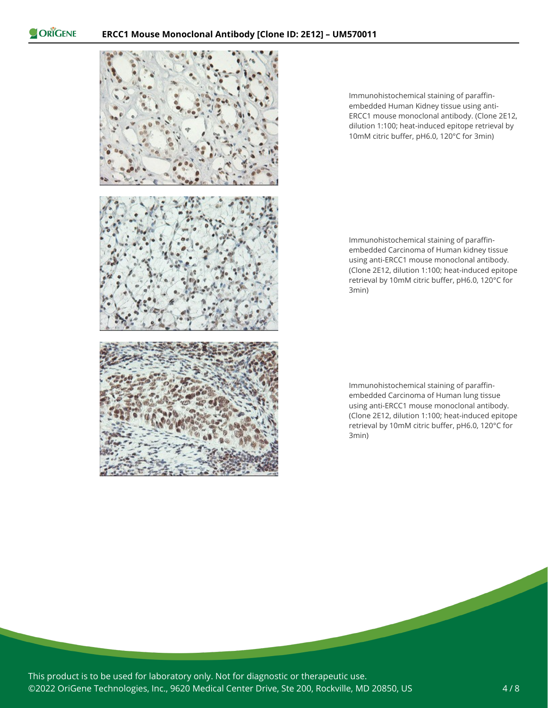

Immunohistochemical staining of paraffinembedded Human Kidney tissue using anti-ERCC1 mouse monoclonal antibody. (Clone 2E12, dilution 1:100; heat-induced epitope retrieval by 10mM citric buffer, pH6.0, 120°C for 3min)

Immunohistochemical staining of paraffinembedded Carcinoma of Human kidney tissue using anti-ERCC1 mouse monoclonal antibody. (Clone 2E12, dilution 1:100; heat-induced epitope retrieval by 10mM citric buffer, pH6.0, 120°C for 3min)

Immunohistochemical staining of paraffinembedded Carcinoma of Human lung tissue using anti-ERCC1 mouse monoclonal antibody. (Clone 2E12, dilution 1:100; heat-induced epitope retrieval by 10mM citric buffer, pH6.0, 120°C for 3min)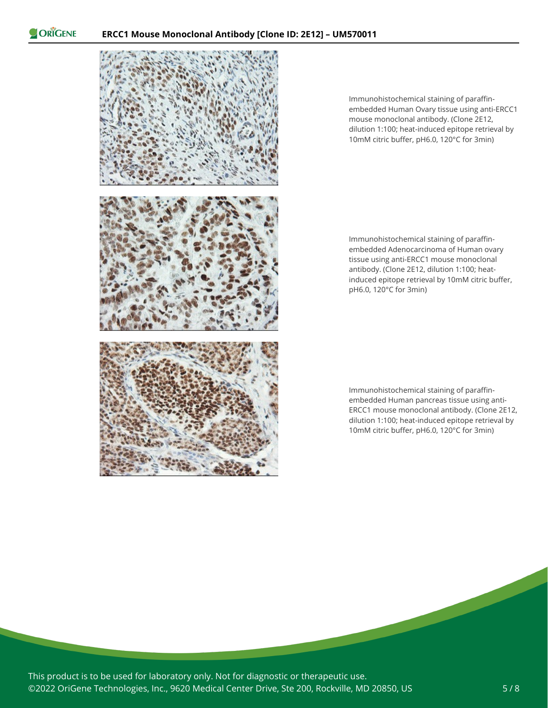



Immunohistochemical staining of paraffinembedded Human Ovary tissue using anti-ERCC1 mouse monoclonal antibody. (Clone 2E12, dilution 1:100; heat-induced epitope retrieval by 10mM citric buffer, pH6.0, 120°C for 3min)

Immunohistochemical staining of paraffinembedded Adenocarcinoma of Human ovary tissue using anti-ERCC1 mouse monoclonal antibody. (Clone 2E12, dilution 1:100; heatinduced epitope retrieval by 10mM citric buffer, pH6.0, 120°C for 3min)

Immunohistochemical staining of paraffinembedded Human pancreas tissue using anti-ERCC1 mouse monoclonal antibody. (Clone 2E12, dilution 1:100; heat-induced epitope retrieval by 10mM citric buffer, pH6.0, 120°C for 3min)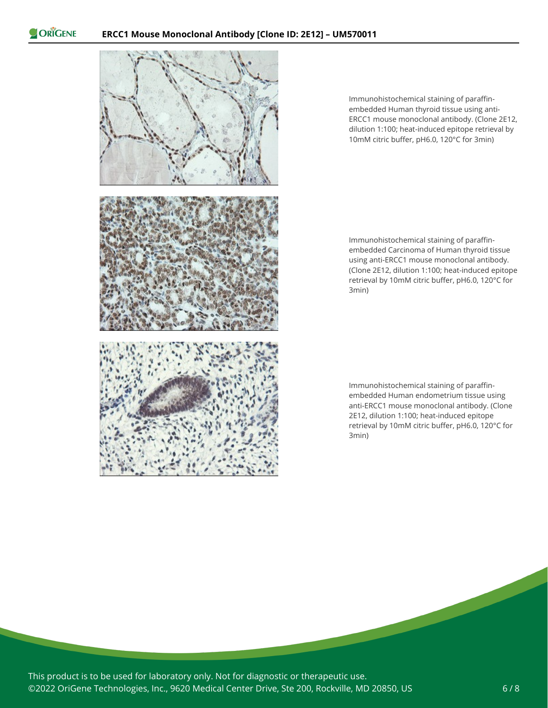

Immunohistochemical staining of paraffinembedded Human thyroid tissue using anti-ERCC1 mouse monoclonal antibody. (Clone 2E12, dilution 1:100; heat-induced epitope retrieval by 10mM citric buffer, pH6.0, 120°C for 3min)

Immunohistochemical staining of paraffinembedded Carcinoma of Human thyroid tissue using anti-ERCC1 mouse monoclonal antibody. (Clone 2E12, dilution 1:100; heat-induced epitope retrieval by 10mM citric buffer, pH6.0, 120°C for 3min)

Immunohistochemical staining of paraffinembedded Human endometrium tissue using anti-ERCC1 mouse monoclonal antibody. (Clone 2E12, dilution 1:100; heat-induced epitope retrieval by 10mM citric buffer, pH6.0, 120°C for 3min)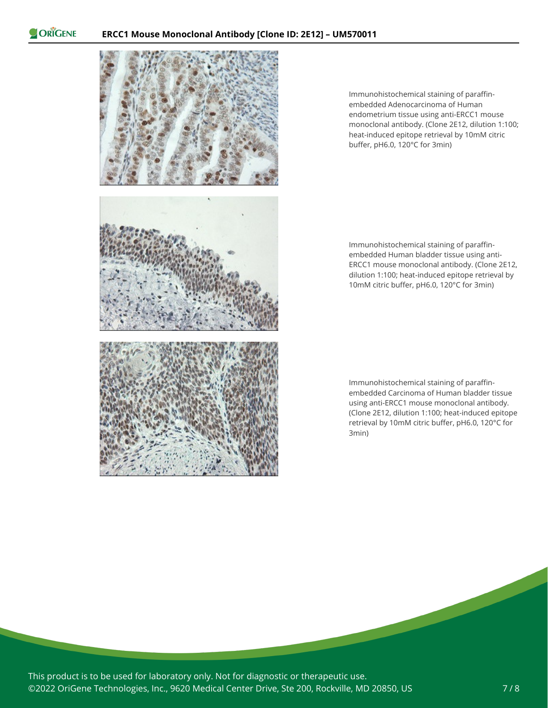

Immunohistochemical staining of paraffinembedded Adenocarcinoma of Human endometrium tissue using anti-ERCC1 mouse monoclonal antibody. (Clone 2E12, dilution 1:100; heat-induced epitope retrieval by 10mM citric buffer, pH6.0, 120°C for 3min)



Immunohistochemical staining of paraffinembedded Human bladder tissue using anti-ERCC1 mouse monoclonal antibody. (Clone 2E12, dilution 1:100; heat-induced epitope retrieval by 10mM citric buffer, pH6.0, 120°C for 3min)

Immunohistochemical staining of paraffinembedded Carcinoma of Human bladder tissue using anti-ERCC1 mouse monoclonal antibody. (Clone 2E12, dilution 1:100; heat-induced epitope retrieval by 10mM citric buffer, pH6.0, 120°C for 3min)